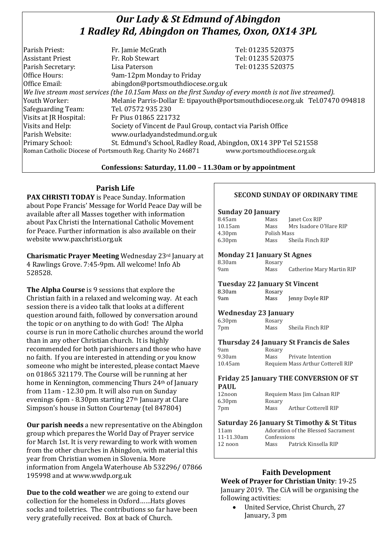# *Our Lady & St Edmund of Abingdon 1 Radley Rd, Abingdon on Thames, Oxon, OX14 3PL*

| Parish Priest:          | Fr. Jamie McGrath                                                                                        | Tel: 01235 520375                                                            |
|-------------------------|----------------------------------------------------------------------------------------------------------|------------------------------------------------------------------------------|
| <b>Assistant Priest</b> | Fr. Rob Stewart                                                                                          | Tel: 01235 520375                                                            |
| Parish Secretary:       | Lisa Paterson                                                                                            | Tel: 01235 520375                                                            |
| Office Hours:           | 9am-12pm Monday to Friday                                                                                |                                                                              |
| Office Email:           | abingdon@portsmouthdiocese.org.uk                                                                        |                                                                              |
|                         | We live stream most services (the 10.15am Mass on the first Sunday of every month is not live streamed). |                                                                              |
| Youth Worker:           |                                                                                                          | Melanie Parris-Dollar E: tipayouth@portsmouthdiocese.org.uk Tel.07470 094818 |
| Safeguarding Team:      | Tel. 07572 935 230                                                                                       |                                                                              |
| Visits at JR Hospital:  | Fr Pius 01865 221732                                                                                     |                                                                              |
| Visits and Help:        | Society of Vincent de Paul Group, contact via Parish Office                                              |                                                                              |
| Parish Website:         | www.ourladyandstedmund.org.uk                                                                            |                                                                              |
| Primary School:         | St. Edmund's School, Radley Road, Abingdon, OX14 3PP Tel 521558                                          |                                                                              |
|                         | Roman Catholic Diocese of Portsmouth Reg. Charity No 246871                                              | www.portsmouthdiocese.org.uk                                                 |
|                         |                                                                                                          |                                                                              |

## **Confessions: Saturday, 11.00 – 11.30am or by appointment**

## **Parish Life**

**PAX CHRISTI TODAY** is Peace Sunday. Information about Pope Francis' Message for World Peace Day will be available after all Masses together with information about Pax Christi the International Catholic Movement for Peace. Further information is also available on their website www.paxchristi.org.uk

**Charismatic Prayer Meeting** Wednesday 23rd January at 4 Rawlings Grove. 7:45-9pm. All welcome! Info Ab 528528.

**The Alpha Course** is 9 sessions that explore the Christian faith in a relaxed and welcoming way. At each session there is a video talk that looks at a different question around faith, followed by conversation around the topic or on anything to do with God! The Alpha course is run in more Catholic churches around the world than in any other Christian church. It is highly recommended for both parishioners and those who have no faith. If you are interested in attending or you know someone who might be interested, please contact Maeve on 01865 321179. The Course will be running at her home in Kennington, commencing Thurs 24th of January from 11am - 12.30 pm. It will also run on Sunday evenings 6pm - 8.30pm starting 27th January at Clare Simpson's house in Sutton Courtenay (tel 847804)

**Our parish needs** a new representative on the Abingdon group which prepares the World Day of Prayer service for March 1st. It is very rewarding to work with women from the other churches in Abingdon, with material this year from Christian women in Slovenia. More information from Angela Waterhouse Ab 532296/ 07866 195998 and at www.wwdp.org.uk

**Due to the cold weather** we are going to extend our collection for the homeless in Oxford……Hats gloves socks and toiletries. The contributions so far have been very gratefully received. Box at back of Church.

## **SECOND SUNDAY OF ORDINARY TIME**

#### **Sunday 20 January**

| 8.45am             | Mass        | Janet Cox RIP          |
|--------------------|-------------|------------------------|
| 10.15am            | Mass        | Mrs Isadore O'Hare RIP |
| 4.30 <sub>pm</sub> | Polish Mass |                        |
| 6.30 <sub>pm</sub> | Mass        | Sheila Finch RIP       |

#### **Monday 21 January St Agnes**

| 8.30am | Rosary |                           |
|--------|--------|---------------------------|
| 9am    | Mass   | Catherine Mary Martin RIP |

#### **Tuesday 22 January St Vincent** 8.30am Rosary

| o.ovuu | nosai y |                 |
|--------|---------|-----------------|
| 9am    | Mass    | Jenny Doyle RIP |
|        |         |                 |

#### **Wednesday 23 January**

6.30pm Rosary 7pm Mass Sheila Finch RIP

**Thursday 24 January St Francis de Sales**

| 9am     | Rosary |                                   |
|---------|--------|-----------------------------------|
| 9.30am  | Mass   | Private Intention                 |
| 10.45am |        | Requiem Mass Arthur Cotterell RIP |

#### **Friday 25 January THE CONVERSION OF ST PAUL**

| 12noon             |        | Requiem Mass Jim Calnan RIP |
|--------------------|--------|-----------------------------|
| 6.30 <sub>pm</sub> | Rosary |                             |
| 7pm                | Mass   | Arthur Cotterell RIP        |
|                    |        |                             |

#### **Saturday 26 January St Timothy & St Titus**

| 11am       |             | Adoration of the Blessed Sacrament |
|------------|-------------|------------------------------------|
| 11-11.30am | Confessions |                                    |
| 12 noon    | Mass        | Patrick Kinsella RIP               |
|            |             |                                    |

## **Faith Development**

**Week of Prayer for Christian Unity**: 19-25 January 2019. The CiA will be organising the following activities:

 United Service, Christ Church, 27 January, 3 pm